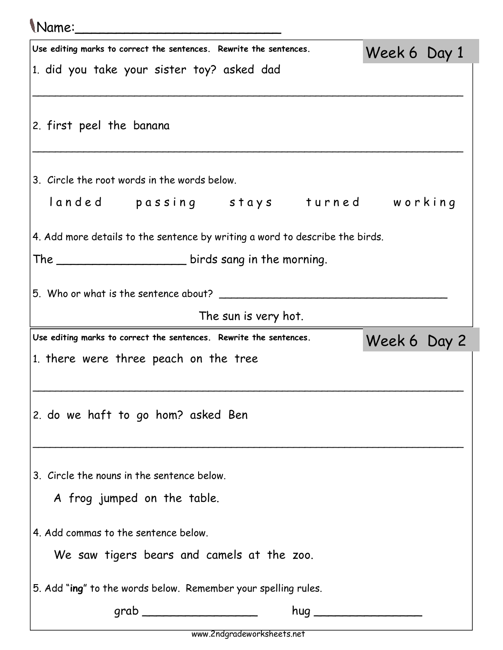## Name:\_\_\_\_\_\_\_\_\_\_\_\_\_\_\_\_\_\_\_\_\_\_\_\_\_

| Use editing marks to correct the sentences. Rewrite the sentences.           | Week 6 Day 1 |
|------------------------------------------------------------------------------|--------------|
| 1. did you take your sister toy? asked dad                                   |              |
|                                                                              |              |
| 2. first peel the banana                                                     |              |
|                                                                              |              |
| 3. Circle the root words in the words below.                                 |              |
| landed passing stays turned working                                          |              |
| 4. Add more details to the sentence by writing a word to describe the birds. |              |
|                                                                              |              |
| 5. Who or what is the sentence about?                                        |              |
| The sun is very hot.                                                         |              |
| Use editing marks to correct the sentences. Rewrite the sentences.           | Week 6 Day 2 |
| 1. there were three peach on the tree                                        |              |
|                                                                              |              |
| 2. do we haft to go hom? asked Ben                                           |              |
|                                                                              |              |
| 3. Circle the nouns in the sentence below.                                   |              |
| A frog jumped on the table.                                                  |              |
|                                                                              |              |
| 4. Add commas to the sentence below.                                         |              |
| We saw tigers bears and camels at the zoo.                                   |              |
| 5. Add "ing" to the words below. Remember your spelling rules.               |              |
| grab _____________________                                                   | hug          |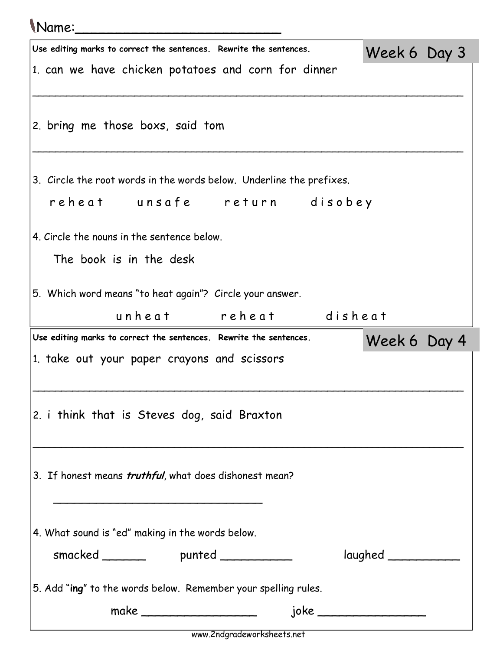## Name:\_\_\_\_\_\_\_\_\_\_\_\_\_\_\_\_\_\_\_\_\_\_\_\_\_

| Use editing marks to correct the sentences. Rewrite the sentences.                              | Week 6 Day 3 |  |
|-------------------------------------------------------------------------------------------------|--------------|--|
| 1. can we have chicken potatoes and corn for dinner                                             |              |  |
|                                                                                                 |              |  |
|                                                                                                 |              |  |
| 2. bring me those boxs, said tom                                                                |              |  |
|                                                                                                 |              |  |
| 3. Circle the root words in the words below. Underline the prefixes.                            |              |  |
|                                                                                                 |              |  |
| reheat unsafe return disobey                                                                    |              |  |
| 4. Circle the nouns in the sentence below.                                                      |              |  |
| The book is in the desk                                                                         |              |  |
|                                                                                                 |              |  |
| 5. Which word means "to heat again"? Circle your answer.                                        |              |  |
| unheat reheat disheat                                                                           |              |  |
|                                                                                                 |              |  |
| Use editing marks to correct the sentences. Rewrite the sentences.                              |              |  |
| 1. take out your paper crayons and scissors                                                     | Week 6 Day 4 |  |
|                                                                                                 |              |  |
|                                                                                                 |              |  |
| 2. i think that is Steves dog, said Braxton                                                     |              |  |
|                                                                                                 |              |  |
|                                                                                                 |              |  |
| 3. If honest means truthful, what does dishonest mean?                                          |              |  |
|                                                                                                 |              |  |
|                                                                                                 |              |  |
| 4. What sound is "ed" making in the words below.                                                |              |  |
| smacked _________ punted _________                                                              |              |  |
|                                                                                                 |              |  |
| 5. Add "ing" to the words below. Remember your spelling rules.<br>make ________________________ |              |  |

www.2ndgradeworksheets.net